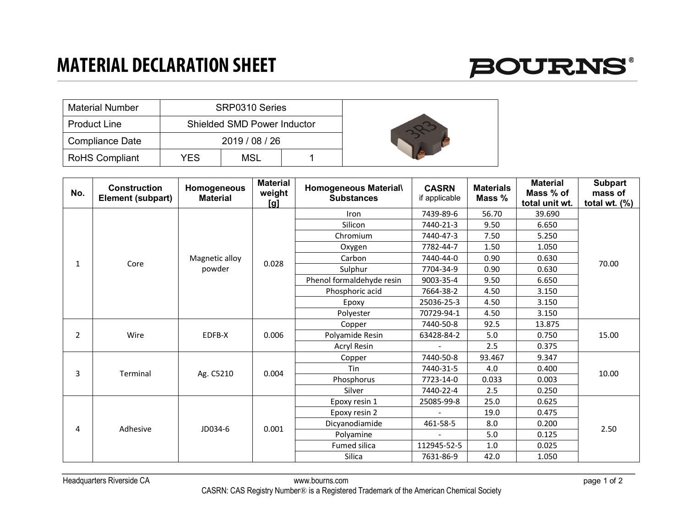## **MATERIAL DECLARATION SHEET**



| <b>Material Number</b> |     | SRP0310 Series                     |  |  |
|------------------------|-----|------------------------------------|--|--|
| <b>Product Line</b>    |     | <b>Shielded SMD Power Inductor</b> |  |  |
| <b>Compliance Date</b> |     | 2019/08/26                         |  |  |
| <b>RoHS Compliant</b>  | YES | MSL                                |  |  |

| No.          | <b>Construction</b><br>Element (subpart) | Homogeneous<br><b>Material</b> | <b>Material</b><br>weight<br>[g] | <b>Homogeneous Material\</b><br><b>Substances</b> | <b>CASRN</b><br>if applicable | <b>Materials</b><br>Mass % | <b>Material</b><br>Mass % of<br>total unit wt. | <b>Subpart</b><br>mass of<br>total wt. $(\%)$ |
|--------------|------------------------------------------|--------------------------------|----------------------------------|---------------------------------------------------|-------------------------------|----------------------------|------------------------------------------------|-----------------------------------------------|
| $\mathbf{1}$ | Core                                     | Magnetic alloy<br>powder       | 0.028                            | Iron                                              | 7439-89-6                     | 56.70                      | 39.690                                         | 70.00                                         |
|              |                                          |                                |                                  | Silicon                                           | 7440-21-3                     | 9.50                       | 6.650                                          |                                               |
|              |                                          |                                |                                  | Chromium                                          | 7440-47-3                     | 7.50                       | 5.250                                          |                                               |
|              |                                          |                                |                                  | Oxygen                                            | 7782-44-7                     | 1.50                       | 1.050                                          |                                               |
|              |                                          |                                |                                  | Carbon                                            | 7440-44-0                     | 0.90                       | 0.630                                          |                                               |
|              |                                          |                                |                                  | Sulphur                                           | 7704-34-9                     | 0.90                       | 0.630                                          |                                               |
|              |                                          |                                |                                  | Phenol formaldehyde resin                         | 9003-35-4                     | 9.50                       | 6.650                                          |                                               |
|              |                                          |                                |                                  | Phosphoric acid                                   | 7664-38-2                     | 4.50                       | 3.150                                          |                                               |
|              |                                          |                                |                                  | Epoxy                                             | 25036-25-3                    | 4.50                       | 3.150                                          |                                               |
|              |                                          |                                |                                  | Polyester                                         | 70729-94-1                    | 4.50                       | 3.150                                          |                                               |
| 2            | Wire                                     | EDFB-X                         | 0.006                            | Copper                                            | 7440-50-8                     | 92.5                       | 13.875                                         | 15.00                                         |
|              |                                          |                                |                                  | Polyamide Resin                                   | 63428-84-2                    | 5.0                        | 0.750                                          |                                               |
|              |                                          |                                |                                  | Acryl Resin                                       |                               | 2.5                        | 0.375                                          |                                               |
| 3            | Terminal                                 | Ag. C5210                      | 0.004                            | Copper                                            | 7440-50-8                     | 93.467                     | 9.347                                          | 10.00                                         |
|              |                                          |                                |                                  | Tin                                               | 7440-31-5                     | 4.0                        | 0.400                                          |                                               |
|              |                                          |                                |                                  | Phosphorus                                        | 7723-14-0                     | 0.033                      | 0.003                                          |                                               |
|              |                                          |                                |                                  | Silver                                            | 7440-22-4                     | 2.5                        | 0.250                                          |                                               |
| 4            | Adhesive                                 | JD034-6                        | 0.001                            | Epoxy resin 1                                     | 25085-99-8                    | 25.0                       | 0.625                                          | 2.50                                          |
|              |                                          |                                |                                  | Epoxy resin 2                                     |                               | 19.0                       | 0.475                                          |                                               |
|              |                                          |                                |                                  | Dicyanodiamide                                    | 461-58-5                      | 8.0                        | 0.200                                          |                                               |
|              |                                          |                                |                                  | Polyamine                                         |                               | 5.0                        | 0.125                                          |                                               |
|              |                                          |                                |                                  | Fumed silica                                      | 112945-52-5                   | $1.0\,$                    | 0.025                                          |                                               |
|              |                                          |                                |                                  | Silica                                            | 7631-86-9                     | 42.0                       | 1.050                                          |                                               |